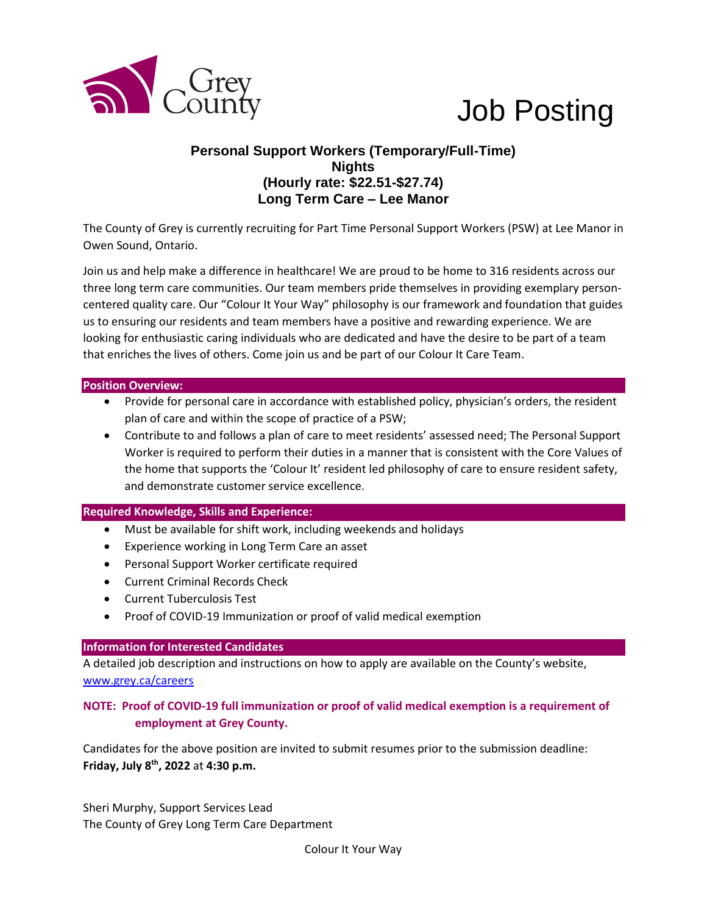

# Job Posting

# **Personal Support Workers (Temporary/Full-Time) Nights (Hourly rate: \$22.51-\$27.74) Long Term Care – Lee Manor**

The County of Grey is currently recruiting for Part Time Personal Support Workers (PSW) at Lee Manor in Owen Sound, Ontario.

Join us and help make a difference in healthcare! We are proud to be home to 316 residents across our three long term care communities. Our team members pride themselves in providing exemplary personcentered quality care. Our "Colour It Your Way" philosophy is our framework and foundation that guides us to ensuring our residents and team members have a positive and rewarding experience. We are looking for enthusiastic caring individuals who are dedicated and have the desire to be part of a team that enriches the lives of others. Come join us and be part of our Colour It Care Team.

#### **Position Overview:**

- Provide for personal care in accordance with established policy, physician's orders, the resident plan of care and within the scope of practice of a PSW;
- Contribute to and follows a plan of care to meet residents' assessed need; The Personal Support Worker is required to perform their duties in a manner that is consistent with the Core Values of the home that supports the 'Colour It' resident led philosophy of care to ensure resident safety, and demonstrate customer service excellence.

## **Required Knowledge, Skills and Experience:**

- Must be available for shift work, including weekends and holidays
- Experience working in Long Term Care an asset
- Personal Support Worker certificate required
- Current Criminal Records Check
- Current Tuberculosis Test
- Proof of COVID-19 Immunization or proof of valid medical exemption

#### **Information for Interested Candidates**

A detailed job description and instructions on how to apply are available on the County's website, [www.grey.ca/careers](http://www.grey.ca/careers)

## **NOTE: Proof of COVID-19 full immunization or proof of valid medical exemption is a requirement of employment at Grey County.**

Candidates for the above position are invited to submit resumes prior to the submission deadline: **Friday, July 8th , 2022** at **4:30 p.m.**

Sheri Murphy, Support Services Lead The County of Grey Long Term Care Department